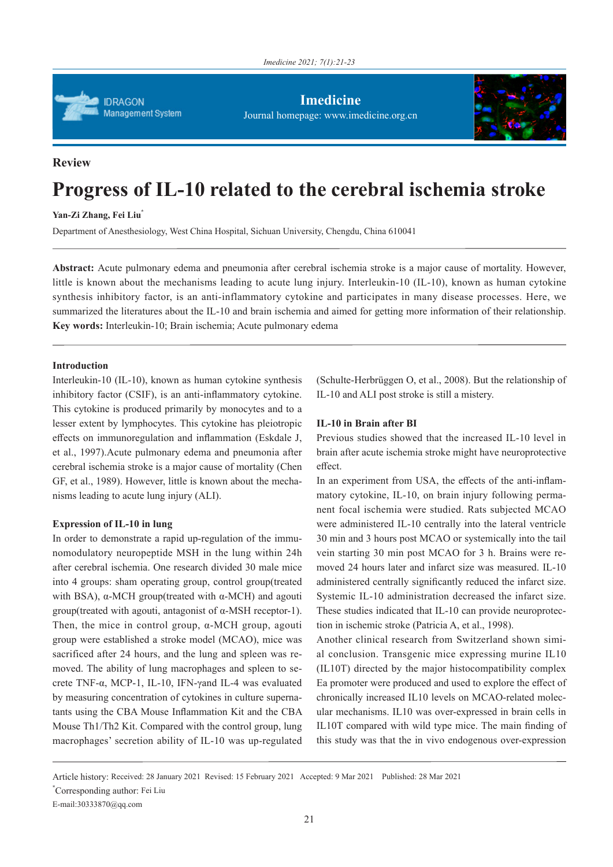

**Imedicine** Journal homepage: www.imedicine.org.cn



# **Review**

# **Progress of IL-10 related to the cerebral ischemia stroke**

**Yan-Zi Zhang, Fei Liu\***

Department of Anesthesiology, West China Hospital, Sichuan University, Chengdu, China 610041

**Abstract:** Acute pulmonary edema and pneumonia after cerebral ischemia stroke is a major cause of mortality. However, little is known about the mechanisms leading to acute lung injury. Interleukin-10 (IL-10), known as human cytokine synthesis inhibitory factor, is an anti-inflammatory cytokine and participates in many disease processes. Here, we summarized the literatures about the IL-10 and brain ischemia and aimed for getting more information of their relationship. **Key words:** Interleukin-10; Brain ischemia; Acute pulmonary edema

## **Introduction**

Interleukin-10 (IL-10), known as human cytokine synthesis inhibitory factor (CSIF), is an anti-inflammatory cytokine. This cytokine is produced primarily by monocytes and to a lesser extent by lymphocytes. This cytokine has pleiotropic effects on immunoregulation and inflammation (Eskdale J, et al., 1997).Acute pulmonary edema and pneumonia after cerebral ischemia stroke is a major cause of mortality (Chen GF, et al., 1989). However, little is known about the mechanisms leading to acute lung injury (ALI).

# **Expression of IL-10 in lung**

In order to demonstrate a rapid up-regulation of the immunomodulatory neuropeptide MSH in the lung within 24h after cerebral ischemia. One research divided 30 male mice into 4 groups: sham operating group, control group(treated with BSA),  $α$ -MCH group(treated with  $α$ -MCH) and agouti group(treated with agouti, antagonist of α-MSH receptor-1). Then, the mice in control group,  $\alpha$ -MCH group, agouti group were established a stroke model (MCAO), mice was sacrificed after 24 hours, and the lung and spleen was removed. The ability of lung macrophages and spleen to secrete TNF-α, MCP-1, IL-10, IFN-γand IL-4 was evaluated by measuring concentration of cytokines in culture supernatants using the CBA Mouse Inflammation Kit and the CBA Mouse Th1/Th2 Kit. Compared with the control group, lung macrophages' secretion ability of IL-10 was up-regulated (Schulte-Herbrüggen O, et al., 2008). But the relationship of IL-10 and ALI post stroke is still a mistery.

#### **IL-10 in Brain after BI**

Previous studies showed that the increased IL-10 level in brain after acute ischemia stroke might have neuroprotective effect.

In an experiment from USA, the effects of the anti-inflammatory cytokine, IL-10, on brain injury following permanent focal ischemia were studied. Rats subjected MCAO were administered IL-10 centrally into the lateral ventricle 30 min and 3 hours post MCAO or systemically into the tail vein starting 30 min post MCAO for 3 h. Brains were removed 24 hours later and infarct size was measured. IL-10 administered centrally significantly reduced the infarct size. Systemic IL-10 administration decreased the infarct size. These studies indicated that IL-10 can provide neuroprotection in ischemic stroke (Patricia A, et al., 1998).

Another clinical research from Switzerland shown simial conclusion. Transgenic mice expressing murine IL10 (IL10T) directed by the major histocompatibility complex Ea promoter were produced and used to explore the effect of chronically increased IL10 levels on MCAO-related molecular mechanisms. IL10 was over-expressed in brain cells in IL10T compared with wild type mice. The main finding of this study was that the in vivo endogenous over-expression

Article history: Received: 28 January 2021 Revised: 15 February 2021 Accepted: 9 Mar 2021 Published: 28 Mar 2021 \* Corresponding author: Fei Liu

E-mail:30333870@qq.com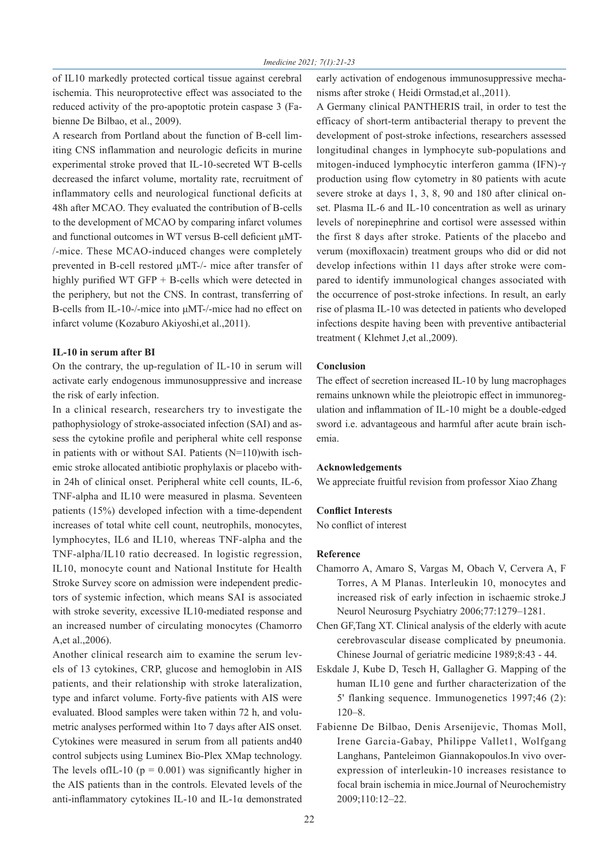of IL10 markedly protected cortical tissue against cerebral ischemia. This neuroprotective effect was associated to the reduced activity of the pro-apoptotic protein caspase 3 (Fabienne De Bilbao, et al., 2009).

A research from Portland about the function of B-cell limiting CNS inflammation and neurologic deficits in murine experimental stroke proved that IL-10-secreted WT B-cells decreased the infarct volume, mortality rate, recruitment of inflammatory cells and neurological functional deficits at 48h after MCAO. They evaluated the contribution of B-cells to the development of MCAO by comparing infarct volumes and functional outcomes in WT versus B-cell deficient μMT- /-mice. These MCAO-induced changes were completely prevented in B-cell restored μMT-/- mice after transfer of highly purified WT GFP + B-cells which were detected in the periphery, but not the CNS. In contrast, transferring of B-cells from IL-10-/-mice into μMT-/-mice had no effect on infarct volume (Kozaburo Akiyoshi,et al.,2011).

#### **IL-10 in serum after BI**

On the contrary, the up-regulation of IL-10 in serum will activate early endogenous immunosuppressive and increase the risk of early infection.

In a clinical research, researchers try to investigate the pathophysiology of stroke-associated infection (SAI) and assess the cytokine profile and peripheral white cell response in patients with or without SAI. Patients (N=110)with ischemic stroke allocated antibiotic prophylaxis or placebo within 24h of clinical onset. Peripheral white cell counts, IL-6, TNF-alpha and IL10 were measured in plasma. Seventeen patients (15%) developed infection with a time-dependent increases of total white cell count, neutrophils, monocytes, lymphocytes, IL6 and IL10, whereas TNF-alpha and the TNF-alpha/IL10 ratio decreased. In logistic regression, IL10, monocyte count and National Institute for Health Stroke Survey score on admission were independent predictors of systemic infection, which means SAI is associated with stroke severity, excessive IL10-mediated response and an increased number of circulating monocytes (Chamorro A,et al.,2006).

Another clinical research aim to examine the serum levels of 13 cytokines, CRP, glucose and hemoglobin in AIS patients, and their relationship with stroke lateralization, type and infarct volume. Forty-five patients with AIS were evaluated. Blood samples were taken within 72 h, and volumetric analyses performed within 1to 7 days after AIS onset. Cytokines were measured in serum from all patients and40 control subjects using Luminex Bio-Plex XMap technology. The levels of IL-10 ( $p = 0.001$ ) was significantly higher in the AIS patients than in the controls. Elevated levels of the anti-inflammatory cytokines IL-10 and IL-1α demonstrated early activation of endogenous immunosuppressive mechanisms after stroke ( Heidi Ormstad,et al.,2011).

A Germany clinical PANTHERIS trail, in order to test the efficacy of short-term antibacterial therapy to prevent the development of post-stroke infections, researchers assessed longitudinal changes in lymphocyte sub-populations and mitogen-induced lymphocytic interferon gamma (IFN)-γ production using flow cytometry in 80 patients with acute severe stroke at days 1, 3, 8, 90 and 180 after clinical onset. Plasma IL-6 and IL-10 concentration as well as urinary levels of norepinephrine and cortisol were assessed within the first 8 days after stroke. Patients of the placebo and verum (moxifloxacin) treatment groups who did or did not develop infections within 11 days after stroke were compared to identify immunological changes associated with the occurrence of post-stroke infections. In result, an early rise of plasma IL-10 was detected in patients who developed infections despite having been with preventive antibacterial treatment ( Klehmet J,et al.,2009).

#### **Conclusion**

The effect of secretion increased IL-10 by lung macrophages remains unknown while the pleiotropic effect in immunoregulation and inflammation of IL-10 might be a double-edged sword i.e. advantageous and harmful after acute brain ischemia.

#### **Acknowledgements**

We appreciate fruitful revision from professor Xiao Zhang

#### **Conflict Interests**

No conflict of interest

#### **Reference**

- Chamorro A, Amaro S, Vargas M, Obach V, Cervera A, F Torres, A M Planas. Interleukin 10, monocytes and increased risk of early infection in ischaemic stroke.J Neurol Neurosurg Psychiatry 2006;77:1279–1281.
- Chen GF,Tang XT. Clinical analysis of the elderly with acute cerebrovascular disease complicated by pneumonia. Chinese Journal of geriatric medicine 1989;8:43 - 44.
- Eskdale J, Kube D, Tesch H, Gallagher G. Mapping of the human IL10 gene and further characterization of the 5' flanking sequence. Immunogenetics 1997;46 (2): 120–8.
- Fabienne De Bilbao, Denis Arsenijevic, Thomas Moll, Irene Garcia-Gabay, Philippe Vallet1, Wolfgang Langhans, Panteleimon Giannakopoulos.In vivo overexpression of interleukin-10 increases resistance to focal brain ischemia in mice.Journal of Neurochemistry 2009;110:12–22.